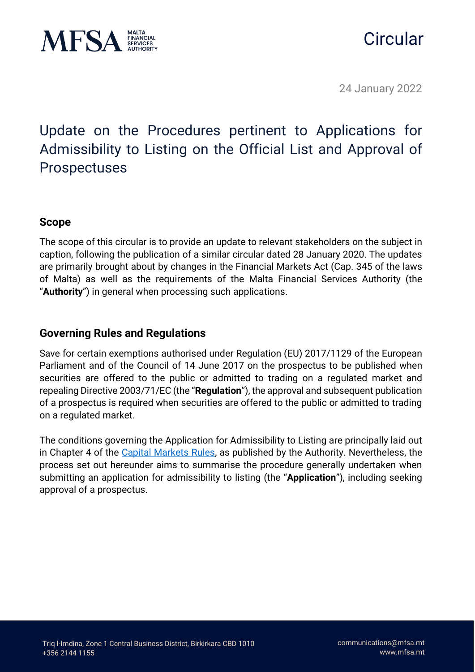

# **Circular**

24 January 2022

# Update on the Procedures pertinent to Applications for Admissibility to Listing on the Official List and Approval of Prospectuses

## **Scope**

The scope of this circular is to provide an update to relevant stakeholders on the subject in caption, following the publication of a similar circular dated 28 January 2020. The updates are primarily brought about by changes in the Financial Markets Act (Cap. 345 of the laws of Malta) as well as the requirements of the Malta Financial Services Authority (the "**Authority**") in general when processing such applications.

### **Governing Rules and Regulations**

Save for certain exemptions authorised under Regulation (EU) 2017/1129 of the European Parliament and of the Council of 14 June 2017 on the prospectus to be published when securities are offered to the public or admitted to trading on a regulated market and repealing Directive 2003/71/EC (the "**Regulation**"), the approval and subsequent publication of a prospectus is required when securities are offered to the public or admitted to trading on a regulated market.

The conditions governing the Application for Admissibility to Listing are principally laid out in Chapter 4 of the [Capital Markets Rules,](https://www.mfsa.mt/wp-content/uploads/2021/12/Full-Capital-Markets-Rules-as-amended-on-6-December-2021.pdf) as published by the Authority. Nevertheless, the process set out hereunder aims to summarise the procedure generally undertaken when submitting an application for admissibility to listing (the "**Application**"), including seeking approval of a prospectus.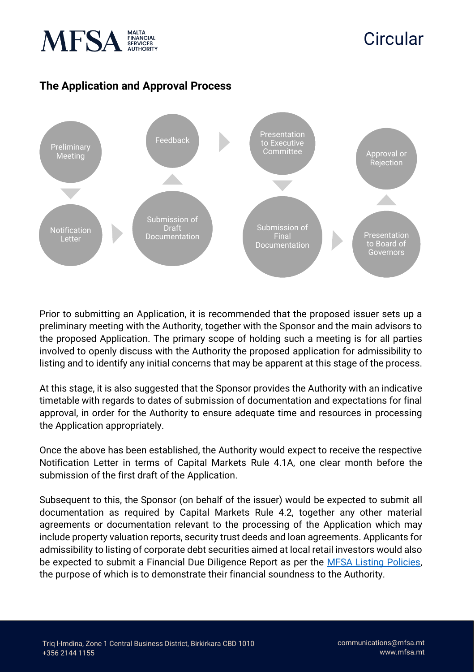

# **Circular**

# **The Application and Approval Process**



Prior to submitting an Application, it is recommended that the proposed issuer sets up a preliminary meeting with the Authority, together with the Sponsor and the main advisors to the proposed Application. The primary scope of holding such a meeting is for all parties involved to openly discuss with the Authority the proposed application for admissibility to listing and to identify any initial concerns that may be apparent at this stage of the process.

At this stage, it is also suggested that the Sponsor provides the Authority with an indicative timetable with regards to dates of submission of documentation and expectations for final approval, in order for the Authority to ensure adequate time and resources in processing the Application appropriately.

Once the above has been established, the Authority would expect to receive the respective Notification Letter in terms of Capital Markets Rule 4.1A, one clear month before the submission of the first draft of the Application.

Subsequent to this, the Sponsor (on behalf of the issuer) would be expected to submit all documentation as required by Capital Markets Rule 4.2, together any other material agreements or documentation relevant to the processing of the Application which may include property valuation reports, security trust deeds and loan agreements. Applicants for admissibility to listing of corporate debt securities aimed at local retail investors would also be expected to submit a Financial Due Diligence Report as per the [MFSA Listing Policies,](https://www.mfsa.mt/wp-content/uploads/2021/08/20210802_MFSA-Policies_Revised2021Cln.pdf) the purpose of which is to demonstrate their financial soundness to the Authority.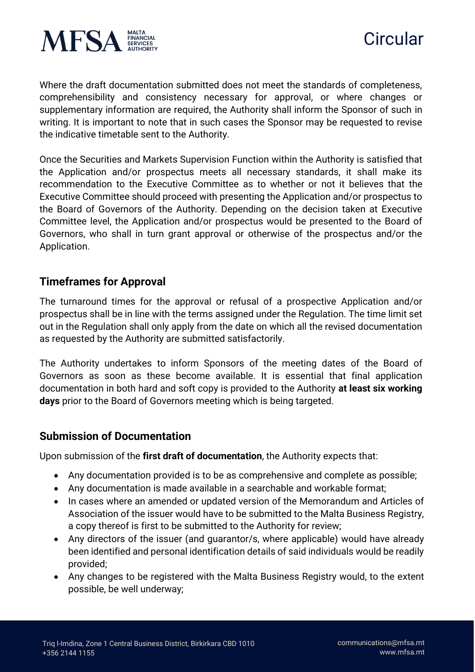



Where the draft documentation submitted does not meet the standards of completeness, comprehensibility and consistency necessary for approval, or where changes or supplementary information are required, the Authority shall inform the Sponsor of such in writing. It is important to note that in such cases the Sponsor may be requested to revise the indicative timetable sent to the Authority.

Once the Securities and Markets Supervision Function within the Authority is satisfied that the Application and/or prospectus meets all necessary standards, it shall make its recommendation to the Executive Committee as to whether or not it believes that the Executive Committee should proceed with presenting the Application and/or prospectus to the Board of Governors of the Authority. Depending on the decision taken at Executive Committee level, the Application and/or prospectus would be presented to the Board of Governors, who shall in turn grant approval or otherwise of the prospectus and/or the Application.

#### **Timeframes for Approval**

The turnaround times for the approval or refusal of a prospective Application and/or prospectus shall be in line with the terms assigned under the Regulation. The time limit set out in the Regulation shall only apply from the date on which all the revised documentation as requested by the Authority are submitted satisfactorily.

The Authority undertakes to inform Sponsors of the meeting dates of the Board of Governors as soon as these become available. It is essential that final application documentation in both hard and soft copy is provided to the Authority **at least six working days** prior to the Board of Governors meeting which is being targeted.

#### **Submission of Documentation**

Upon submission of the **first draft of documentation**, the Authority expects that:

- Any documentation provided is to be as comprehensive and complete as possible;
- Any documentation is made available in a searchable and workable format;
- In cases where an amended or updated version of the Memorandum and Articles of Association of the issuer would have to be submitted to the Malta Business Registry, a copy thereof is first to be submitted to the Authority for review;
- Any directors of the issuer (and guarantor/s, where applicable) would have already been identified and personal identification details of said individuals would be readily provided;
- Any changes to be registered with the Malta Business Registry would, to the extent possible, be well underway;